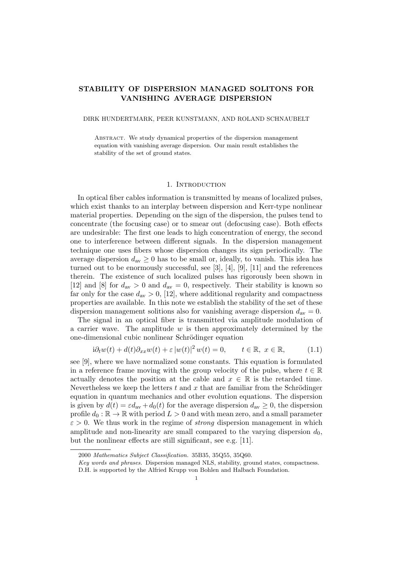# STABILITY OF DISPERSION MANAGED SOLITONS FOR VANISHING AVERAGE DISPERSION

#### DIRK HUNDERTMARK, PEER KUNSTMANN, AND ROLAND SCHNAUBELT

Abstract. We study dynamical properties of the dispersion management equation with vanishing average dispersion. Our main result establishes the stability of the set of ground states.

## 1. INTRODUCTION

In optical fiber cables information is transmitted by means of localized pulses, which exist thanks to an interplay between dispersion and Kerr-type nonlinear material properties. Depending on the sign of the dispersion, the pulses tend to concentrate (the focusing case) or to smear out (defocusing case). Both effects are undesirable: The first one leads to high concentration of energy, the second one to interference between different signals. In the dispersion management technique one uses fibers whose dispersion changes its sign periodically. The average dispersion  $d_{av} \geq 0$  has to be small or, ideally, to vanish. This idea has turned out to be enormously successful, see [3], [4], [9], [11] and the references therein. The existence of such localized pulses has rigorously been shown in [12] and [8] for  $d_{\text{av}} > 0$  and  $d_{\text{av}} = 0$ , respectively. Their stability is known so far only for the case  $d_{av} > 0$ , [12], where additional regularity and compactness properties are available. In this note we establish the stability of the set of these dispersion management solitions also for vanishing average dispersion  $d_{av} = 0$ .

The signal in an optical fiber is transmitted via amplitude modulation of a carrier wave. The amplitude  $w$  is then approximately determined by the one-dimensional cubic nonlinear Schrödinger equation

$$
i\partial_t w(t) + d(t)\partial_{xx} w(t) + \varepsilon |w(t)|^2 w(t) = 0, \qquad t \in \mathbb{R}, \ x \in \mathbb{R}, \tag{1.1}
$$

see [9], where we have normalized some constants. This equation is formulated in a reference frame moving with the group velocity of the pulse, where  $t \in \mathbb{R}$ actually denotes the position at the cable and  $x \in \mathbb{R}$  is the retarded time. Nevertheless we keep the letters t and x that are familiar from the Schrödinger equation in quantum mechanics and other evolution equations. The dispersion is given by  $d(t) = \varepsilon d_{av} + d_0(t)$  for the average dispersion  $d_{av} \geq 0$ , the dispersion profile  $d_0 : \mathbb{R} \to \mathbb{R}$  with period  $L > 0$  and with mean zero, and a small parameter  $\varepsilon > 0$ . We thus work in the regime of *strong* dispersion management in which amplitude and non-linearity are small compared to the varying dispersion  $d_0$ , but the nonlinear effects are still significant, see e.g. [11].

<sup>2000</sup> Mathematics Subject Classification. 35B35, 35Q55, 35Q60.

Key words and phrases. Dispersion managed NLS, stability, ground states, compactness. D.H. is supported by the Alfried Krupp von Bohlen and Halbach Foundation.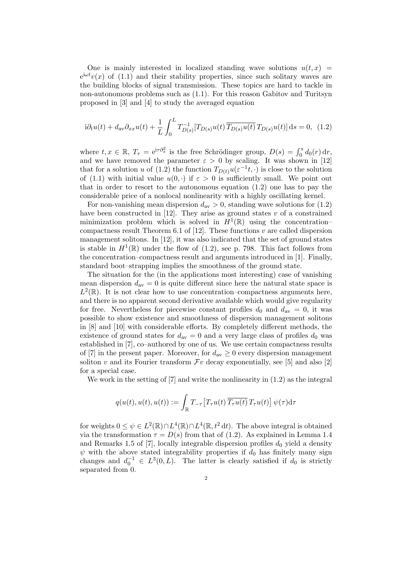One is mainly interested in localized standing wave solutions  $u(t, x)$  $e^{i\omega t}v(x)$  of (1.1) and their stability properties, since such solitary waves are the building blocks of signal transmission. These topics are hard to tackle in non-autonomous problems such as (1.1). For this reason Gabitov and Turitsyn proposed in [3] and [4] to study the averaged equation

$$
i\partial_t u(t) + d_{av}\partial_{xx}u(t) + \frac{1}{L} \int_0^L T_{D(s)}^{-1} [T_{D(s)}u(t) \overline{T_{D(s)}u(t)} T_{D(s)}u(t)] ds = 0, (1.2)
$$

where  $t, x \in \mathbb{R}, T_{\tau} = e^{i\tau \partial_x^2}$  is the free Schrödinger group,  $D(s) = \int_0^s d_0(r) dr$ , and we have removed the parameter  $\varepsilon > 0$  by scaling. It was shown in [12] that for a solution u of (1.2) the function  $T_{D(t)}u(\varepsilon^{-1}t,\cdot)$  is close to the solution of (1.1) with initial value  $u(0, \cdot)$  if  $\varepsilon > 0$  is sufficiently small. We point out that in order to resort to the autonomous equation (1.2) one has to pay the considerable price of a nonlocal nonlinearity with a highly oscillating kernel.

For non-vanishing mean dispersion  $d_{av} > 0$ , standing wave solutions for (1.2) have been constructed in  $[12]$ . They arise as ground states v of a constrained minimization problem which is solved in  $H^1(\mathbb{R})$  using the concentrationcompactness result Theorem 6.1 of [12]. These functions  $v$  are called dispersion management solitons. In [12], it was also indicated that the set of ground states is stable in  $H^1(\mathbb{R})$  under the flow of (1.2), see p. 798. This fact follows from the concentration–compactness result and arguments introduced in [1]. Finally, standard boot–strapping implies the smoothness of the ground state.

The situation for the (in the applications most interesting) case of vanishing mean dispersion  $d_{av} = 0$  is quite different since here the natural state space is  $L^2(\mathbb{R})$ . It is not clear how to use concentration–compactness arguments here, and there is no apparent second derivative available which would give regularity for free. Nevertheless for piecewise constant profiles  $d_0$  and  $d_{av} = 0$ , it was possible to show existence and smoothness of dispersion management solitons in [8] and [10] with considerable efforts. By completely different methods, the existence of ground states for  $d_{av} = 0$  and a very large class of profiles  $d_0$  was established in [7], co–authored by one of us. We use certain compactness results of [7] in the present paper. Moreover, for  $d_{av} \geq 0$  every dispersion management soliton v and its Fourier transform  $\mathcal{F}v$  decay exponentially, see [5] and also [2] for a special case.

We work in the setting of [7] and write the nonlinearity in (1.2) as the integral

$$
q(u(t), u(t), u(t)) := \int_{\mathbb{R}} T_{-\tau} \big[ T_{\tau} u(t) \, \overline{T_{\tau} u(t)} \, T_{\tau} u(t) \big] \, \psi(\tau) \mathrm{d}\tau
$$

for weights  $0 \leq \psi \in L^2(\mathbb{R}) \cap L^4(\mathbb{R}) \cap L^4(\mathbb{R}, t^2 dt)$ . The above integral is obtained via the transformation  $\tau = D(s)$  from that of (1.2). As explained in Lemma 1.4 and Remarks 1.5 of [7], locally integrable dispersion profiles  $d_0$  yield a density  $\psi$  with the above stated integrability properties if  $d_0$  has finitely many sign changes and  $d_0^{-1} \in L^3(0,L)$ . The latter is clearly satisfied if  $d_0$  is strictly separated from 0.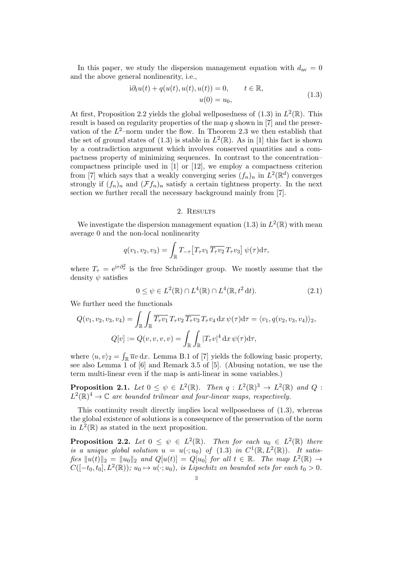In this paper, we study the dispersion management equation with  $d_{\text{av}} = 0$ and the above general nonlinearity, i.e.,

$$
i\partial_t u(t) + q(u(t), u(t), u(t)) = 0, \t t \in \mathbb{R},
$$
  
 
$$
u(0) = u_0,
$$
 (1.3)

At first, Proposition 2.2 yields the global well posedness of  $(1.3)$  in  $L^2(\mathbb{R})$ . This result is based on regularity properties of the map  $q$  shown in [7] and the preservation of the  $L^2$ -norm under the flow. In Theorem 2.3 we then establish that the set of ground states of (1.3) is stable in  $L^2(\mathbb{R})$ . As in [1] this fact is shown by a contradiction argument which involves conserved quantities and a compactness property of minimizing sequences. In contrast to the concentration– compactness principle used in [1] or [12], we employ a compactness criterion from [7] which says that a weakly converging series  $(f_n)_n$  in  $L^2(\mathbb{R}^d)$  converges strongly if  $(f_n)_n$  and  $(\mathcal{F}f_n)_n$  satisfy a certain tightness property. In the next section we further recall the necessary background mainly from [7].

## 2. RESULTS

We investigate the dispersion management equation (1.3) in  $L^2(\mathbb{R})$  with mean average 0 and the non-local nonlinearity

$$
q(v_1, v_2, v_3) = \int_{\mathbb{R}} T_{-\tau} \big[ T_{\tau} v_1 \overline{T_{\tau} v_2} T_{\tau} v_3 \big] \psi(\tau) d\tau,
$$

where  $T_{\tau} = e^{i\tau \partial_x^2}$  is the free Schrödinger group. We mostly assume that the density  $\psi$  satisfies

$$
0 \le \psi \in L^2(\mathbb{R}) \cap L^4(\mathbb{R}) \cap L^4(\mathbb{R}, t^2 dt). \tag{2.1}
$$

We further need the functionals

$$
Q(v_1, v_2, v_3, v_4) = \int_{\mathbb{R}} \int_{\mathbb{R}} \overline{T_{\tau} v_1} T_{\tau} v_2 \overline{T_{\tau} v_3} T_{\tau} v_4 dx \psi(\tau) d\tau = \langle v_1, q(v_2, v_3, v_4) \rangle_2,
$$
  

$$
Q[v] := Q(v, v, v, v) = \int_{\mathbb{R}} \int_{\mathbb{R}} |T_{\tau} v|^4 dx \psi(\tau) d\tau,
$$

where  $\langle u, v \rangle_2 = \int_{\mathbb{R}} \overline{u}v \, dx$ . Lemma B.1 of [7] yields the following basic property, see also Lemma 1 of [6] and Remark 3.5 of [5]. (Abusing notation, we use the term multi-linear even if the map is anti-linear in some variables.)

**Proposition 2.1.** Let  $0 \leq \psi \in L^2(\mathbb{R})$ . Then  $q: L^2(\mathbb{R})^3 \to L^2(\mathbb{R})$  and  $Q$ :  $L^2(\mathbb{R})^4 \to \mathbb{C}$  are bounded trilinear and four-linear maps, respectively.

This continuity result directly implies local wellposedness of (1.3), whereas the global existence of solutions is a consequence of the preservation of the norm in  $L^2(\mathbb{R})$  as stated in the next proposition.

**Proposition 2.2.** Let  $0 \leq \psi \in L^2(\mathbb{R})$ . Then for each  $u_0 \in L^2(\mathbb{R})$  there is a unique global solution  $u = u(\cdot; u_0)$  of  $(1.3)$  in  $C^1(\mathbb{R}, L^2(\mathbb{R}))$ . It satisfies  $||u(t)||_2 = ||u_0||_2$  and  $Q[u(t)] = Q[u_0]$  for all  $t \in \mathbb{R}$ . The map  $L^2(\mathbb{R}) \to$  $C([-t_0, t_0], L^2(\mathbb{R}))$ ;  $u_0 \mapsto u(\cdot; u_0)$ , is Lipschitz on bounded sets for each  $t_0 > 0$ .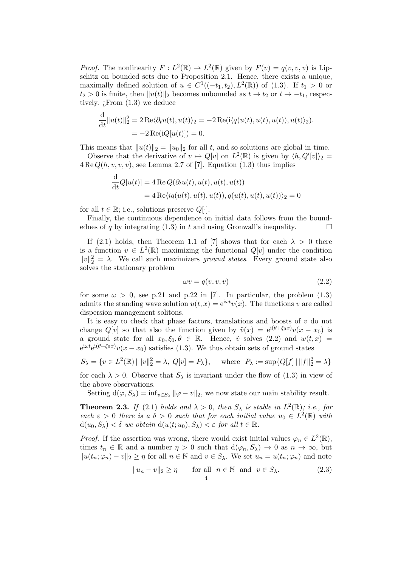*Proof.* The nonlinearity  $F: L^2(\mathbb{R}) \to L^2(\mathbb{R})$  given by  $F(v) = q(v, v, v)$  is Lipschitz on bounded sets due to Proposition 2.1. Hence, there exists a unique, maximally defined solution of  $u \in C^1((-t_1, t_2), L^2(\mathbb{R}))$  of (1.3). If  $t_1 > 0$  or  $t_2 > 0$  is finite, then  $||u(t)||_2$  becomes unbounded as  $t \to t_2$  or  $t \to -t_1$ , respectively.  $\zeta$  From  $(1.3)$  we deduce

$$
\frac{\mathrm{d}}{\mathrm{d}t}||u(t)||_2^2 = 2\operatorname{Re}\langle \partial_t u(t), u(t) \rangle_2 = -2\operatorname{Re}(i\langle q(u(t), u(t), u(t)), u(t) \rangle_2).
$$
  
= 
$$
-2\operatorname{Re}(iQ[u(t)]) = 0.
$$

This means that  $||u(t)||_2 = ||u_0||_2$  for all t, and so solutions are global in time.

Observe that the derivative of  $v \mapsto Q[v]$  on  $L^2(\mathbb{R})$  is given by  $\langle h, Q'[v] \rangle_2 =$  $4 \text{Re } Q(h, v, v, v)$ , see Lemma 2.7 of [7]. Equation (1.3) thus implies

$$
\frac{d}{dt}Q[u(t)] = 4 \operatorname{Re} Q(\partial_t u(t), u(t), u(t), u(t))
$$
  
= 4 \operatorname{Re}\langle iq(u(t), u(t), u(t)), q(u(t), u(t), u(t))\rangle\_2 = 0

for all  $t \in \mathbb{R}$ ; i.e., solutions preserve  $Q[\cdot]$ .

Finally, the continuous dependence on initial data follows from the boundednes of q by integrating (1.3) in t and using Gronwall's inequality.  $\square$ 

If (2.1) holds, then Theorem 1.1 of [7] shows that for each  $\lambda > 0$  there is a function  $v \in L^2(\mathbb{R})$  maximizing the functional  $Q[v]$  under the condition  $||v||_2^2 = \lambda$ . We call such maximizers ground states. Every ground state also solves the stationary problem

$$
\omega v = q(v, v, v) \tag{2.2}
$$

for some  $\omega > 0$ , see p.21 and p.22 in [7]. In particular, the problem (1.3) admits the standing wave solution  $u(t, x) = e^{i\omega t}v(x)$ . The functions v are called dispersion management solitons.

It is easy to check that phase factors, translations and boosts of  $v$  do not change  $Q[v]$  so that also the function given by  $\tilde{v}(x) = e^{i(\theta + \xi_0 x)}v(x - x_0)$  is a ground state for all  $x_0, \xi_0, \theta \in \mathbb{R}$ . Hence,  $\tilde{v}$  solves (2.2) and  $w(t, x) =$  $e^{i\omega t}e^{i(\theta+\xi_0x)}v(x-x_0)$  satisfies (1.3). We thus obtain sets of ground states

$$
S_{\lambda} = \{ v \in L^{2}(\mathbb{R}) \mid ||v||_{2}^{2} = \lambda, Q[v] = P_{\lambda} \}, \text{ where } P_{\lambda} := \sup \{ Q[f] \mid ||f||_{2}^{2} = \lambda \}
$$

for each  $\lambda > 0$ . Observe that  $S_{\lambda}$  is invariant under the flow of (1.3) in view of the above observations.

Setting  $d(\varphi, S_\lambda) = \inf_{v \in S_\lambda} ||\varphi - v||_2$ , we now state our main stability result.

**Theorem 2.3.** If (2.1) holds and  $\lambda > 0$ , then  $S_{\lambda}$  is stable in  $L^2(\mathbb{R})$ ; i.e., for each  $\varepsilon > 0$  there is a  $\delta > 0$  such that for each initial value  $u_0 \in L^2(\mathbb{R})$  with  $d(u_0, S_\lambda) < \delta$  we obtain  $d(u(t; u_0), S_\lambda) < \varepsilon$  for all  $t \in \mathbb{R}$ .

*Proof.* If the assertion was wrong, there would exist initial values  $\varphi_n \in L^2(\mathbb{R})$ , times  $t_n \in \mathbb{R}$  and a number  $\eta > 0$  such that  $d(\varphi_n, S_\lambda) \to 0$  as  $n \to \infty$ , but  $||u(t_n; \varphi_n) - v||_2 \geq \eta$  for all  $n \in \mathbb{N}$  and  $v \in S_\lambda$ . We set  $u_n = u(t_n; \varphi_n)$  and note

$$
||u_n - v||_2 \ge \eta \quad \text{for all} \quad n \in \mathbb{N} \text{ and } v \in S_\lambda. \tag{2.3}
$$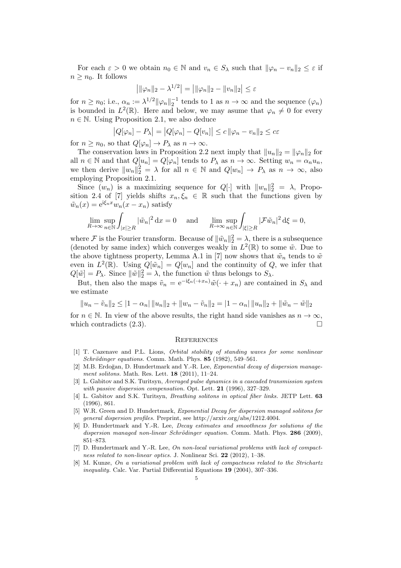For each  $\varepsilon > 0$  we obtain  $n_0 \in \mathbb{N}$  and  $v_n \in S_\lambda$  such that  $\|\varphi_n - v_n\|_2 \leq \varepsilon$  if  $n \geq n_0$ . It follows

$$
\left| ||\varphi_n||_2 - \lambda^{1/2} \right| = \left| ||\varphi_n||_2 - ||v_n||_2 \right| \le \varepsilon
$$

for  $n \ge n_0$ ; i.e.,  $\alpha_n := \lambda^{1/2} ||\varphi_n||_2^{-1}$  tends to 1 as  $n \to \infty$  and the sequence  $(\varphi_n)$ is bounded in  $L^2(\mathbb{R})$ . Here and below, we may asume that  $\varphi_n \neq 0$  for every  $n \in \mathbb{N}$ . Using Proposition 2.1, we also deduce

$$
|Q[\varphi_n] - P_\lambda| = |Q[\varphi_n] - Q[v_n]| \le c \|\varphi_n - v_n\|_2 \le c\varepsilon
$$

for  $n \geq n_0$ , so that  $Q[\varphi_n] \to P_\lambda$  as  $n \to \infty$ .

The conservation laws in Proposition 2.2 next imply that  $||u_n||_2 = ||\varphi_n||_2$  for all  $n \in \mathbb{N}$  and that  $Q[u_n] = Q[\varphi_n]$  tends to  $P_\lambda$  as  $n \to \infty$ . Setting  $w_n = \alpha_n u_n$ , we then derive  $||w_n||_2^2 = \lambda$  for all  $n \in \mathbb{N}$  and  $Q[w_n] \to P_\lambda$  as  $n \to \infty$ , also employing Proposition 2.1.

Since  $(w_n)$  is a maximizing sequence for  $Q[\cdot]$  with  $||w_n||_2^2 = \lambda$ , Proposition 2.4 of [7] yields shifts  $x_n, \xi_n \in \mathbb{R}$  such that the functions given by  $\tilde{w}_n(x) = e^{i\xi_n x} w_n(x - x_n)$  satisfy

$$
\lim_{R \to \infty} \sup_{n \in \mathbb{N}} \int_{|x| \ge R} |\tilde{w}_n|^2 \, \mathrm{d}x = 0 \quad \text{and} \quad \lim_{R \to \infty} \sup_{n \in \mathbb{N}} \int_{|\xi| \ge R} |\mathcal{F}\tilde{w}_n|^2 \, \mathrm{d}\xi = 0,
$$

where F is the Fourier transform. Because of  $\|\tilde{w}_n\|_2^2 = \lambda$ , there is a subsequence (denoted by same index) which converges weakly in  $L^2(\mathbb{R})$  to some  $\tilde{w}$ . Due to the above tightness property, Lemma A.1 in [7] now shows that  $\tilde{w}_n$  tends to  $\tilde{w}$ even in  $L^2(\mathbb{R})$ . Using  $Q[\tilde{w}_n] = Q[w_n]$  and the continuity of Q, we infer that  $Q[\tilde{w}] = P_{\lambda}$ . Since  $\|\tilde{w}\|_2^2 = \lambda$ , the function  $\tilde{w}$  thus belongs to  $S_{\lambda}$ .

But, then also the maps  $\tilde{v}_n = e^{-i\xi_n(\cdot + x_n)}\tilde{w}(\cdot + x_n)$  are contained in  $S_\lambda$  and we estimate

$$
||u_n - \tilde{v}_n||_2 \le |1 - \alpha_n| ||u_n||_2 + ||w_n - \tilde{v}_n||_2 = |1 - \alpha_n| ||u_n||_2 + ||\tilde{w}_n - \tilde{w}||_2
$$

for  $n \in \mathbb{N}$ . In view of the above results, the right hand side vanishes as  $n \to \infty$ , which contradicts  $(2.3)$ .

#### **REFERENCES**

- [1] T. Cazenave and P.L. Lions, Orbital stability of standing waves for some nonlinear  $Schrödinger\ equations.$  Comm. Math. Phys. 85 (1982), 549-561.
- [2] M.B. Erdoğan, D. Hundertmark and Y.-R. Lee, *Exponential decay of dispersion manage*ment solitons. Math. Res. Lett. 18 (2011), 11–24.
- [3] L. Gabitov and S.K. Turitsyn, Averaged pulse dynamics in a cascaded transmission system with passive dispersion compensation. Opt. Lett. 21 (1996), 327–329.
- [4] L. Gabitov and S.K. Turitsyn, *Breathing solitons in optical fiber links*. JETP Lett. 63 (1996), 861.
- [5] W.R. Green and D. Hundertmark, Exponential Decay for dispersion managed solitons for general dispersion profiles. Preprint, see http://arxiv.org/abs/1212.4004.
- [6] D. Hundertmark and Y.-R. Lee, Decay estimates and smoothness for solutions of the dispersion managed non-linear Schrödinger equation. Comm. Math. Phys.  $286$  (2009), 851–873.
- [7] D. Hundertmark and Y.-R. Lee, On non-local variational problems with lack of compactness related to non-linear optics. J. Nonlinear Sci. 22 (2012), 1–38.
- [8] M. Kunze, On a variational problem with lack of compactness related to the Strichartz inequality. Calc. Var. Partial Differential Equations 19 (2004), 307–336.